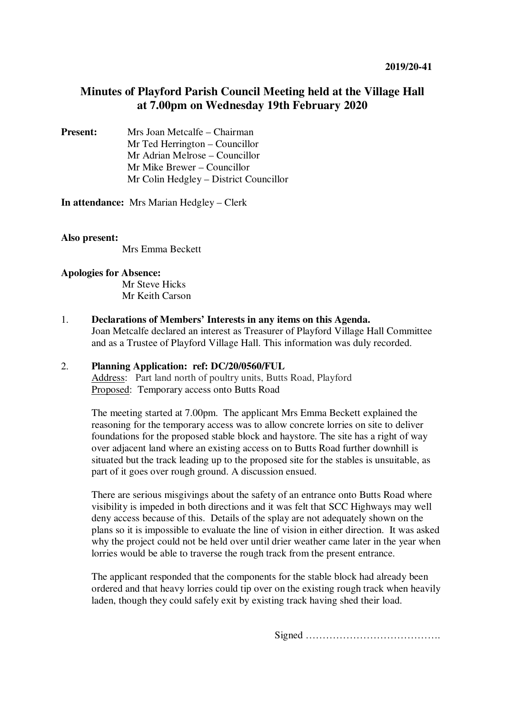# **Minutes of Playford Parish Council Meeting held at the Village Hall at 7.00pm on Wednesday 19th February 2020**

**Present:** Mrs Joan Metcalfe – Chairman Mr Ted Herrington – Councillor Mr Adrian Melrose – Councillor Mr Mike Brewer – Councillor Mr Colin Hedgley – District Councillor

**In attendance:** Mrs Marian Hedgley – Clerk

### **Also present:**

Mrs Emma Beckett

### **Apologies for Absence:**

Mr Steve Hicks Mr Keith Carson

1. **Declarations of Members' Interests in any items on this Agenda.** 

Joan Metcalfe declared an interest as Treasurer of Playford Village Hall Committee and as a Trustee of Playford Village Hall. This information was duly recorded.

## 2. **Planning Application: ref: DC/20/0560/FUL**

Address: Part land north of poultry units, Butts Road, Playford Proposed: Temporary access onto Butts Road

The meeting started at 7.00pm. The applicant Mrs Emma Beckett explained the reasoning for the temporary access was to allow concrete lorries on site to deliver foundations for the proposed stable block and haystore. The site has a right of way over adjacent land where an existing access on to Butts Road further downhill is situated but the track leading up to the proposed site for the stables is unsuitable, as part of it goes over rough ground. A discussion ensued.

There are serious misgivings about the safety of an entrance onto Butts Road where visibility is impeded in both directions and it was felt that SCC Highways may well deny access because of this. Details of the splay are not adequately shown on the plans so it is impossible to evaluate the line of vision in either direction. It was asked why the project could not be held over until drier weather came later in the year when lorries would be able to traverse the rough track from the present entrance.

The applicant responded that the components for the stable block had already been ordered and that heavy lorries could tip over on the existing rough track when heavily laden, though they could safely exit by existing track having shed their load.

Signed ………………………………….